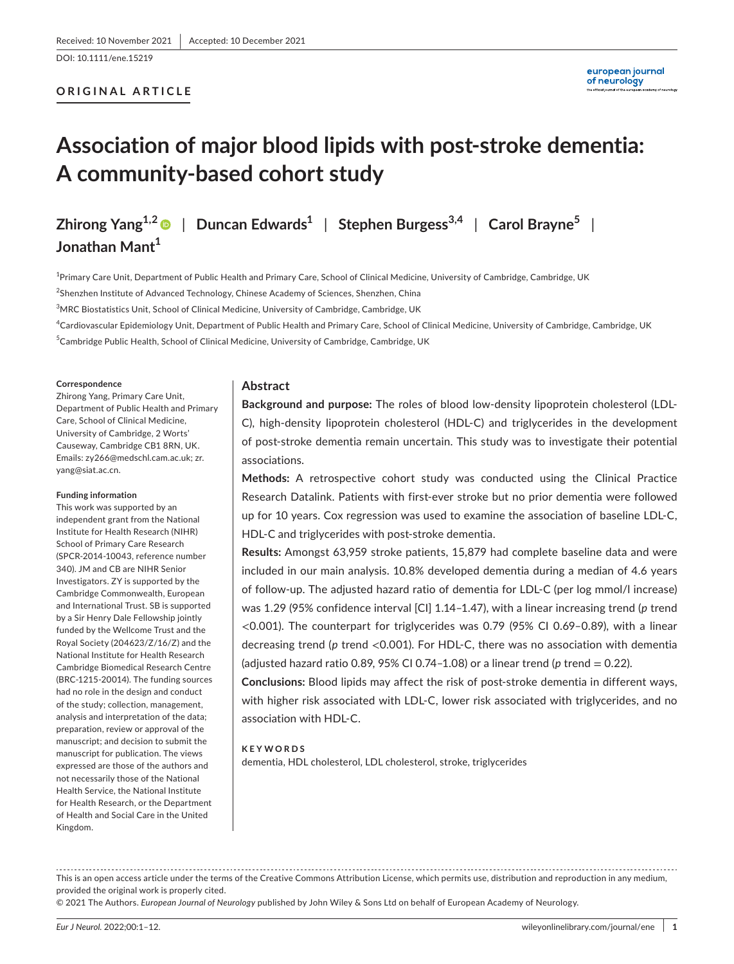#### DOI: 10.1111/ene.15219

# **ORIGINAL ARTICLE**

# **Association of major blood lipids with post-stroke dementia: A community-based cohort study**

**Zhirong Yang1,[2](https://orcid.org/0000-0002-1562-0603)** | **Duncan Edwards1** | **Stephen Burgess3,4** | **Carol Brayne5** | **Jonathan Mant**<sup>1</sup>

<sup>1</sup>Primary Care Unit, Department of Public Health and Primary Care, School of Clinical Medicine, University of Cambridge, Cambridge, UK <sup>2</sup>Shenzhen Institute of Advanced Technology, Chinese Academy of Sciences, Shenzhen, China

 $^3$ MRC Biostatistics Unit, School of Clinical Medicine, University of Cambridge, Cambridge, UK

4 Cardiovascular Epidemiology Unit, Department of Public Health and Primary Care, School of Clinical Medicine, University of Cambridge, Cambridge, UK <sup>5</sup>Cambridge Public Health, School of Clinical Medicine, University of Cambridge, Cambridge, UK

#### **Correspondence**

Zhirong Yang, Primary Care Unit, Department of Public Health and Primary Care, School of Clinical Medicine, University of Cambridge, 2 Worts' Causeway, Cambridge CB1 8RN, UK. Emails: [zy266@medschl.cam.ac.uk;](mailto:zy266@medschl.cam.ac.uk) [zr.](mailto:zr.yang@siat.ac.cn) [yang@siat.ac.cn](mailto:zr.yang@siat.ac.cn).

#### **Funding information**

This work was supported by an independent grant from the National Institute for Health Research (NIHR) School of Primary Care Research (SPCR-2014-10043, reference number 340). JM and CB are NIHR Senior Investigators. ZY is supported by the Cambridge Commonwealth, European and International Trust. SB is supported by a Sir Henry Dale Fellowship jointly funded by the Wellcome Trust and the Royal Society (204623/Z/16/Z) and the National Institute for Health Research Cambridge Biomedical Research Centre (BRC-1215-20014). The funding sources had no role in the design and conduct of the study; collection, management, analysis and interpretation of the data; preparation, review or approval of the manuscript; and decision to submit the manuscript for publication. The views expressed are those of the authors and not necessarily those of the National Health Service, the National Institute for Health Research, or the Department of Health and Social Care in the United Kingdom.

# **Abstract**

**Background and purpose:** The roles of blood low-density lipoprotein cholesterol (LDL-C), high-density lipoprotein cholesterol (HDL-C) and triglycerides in the development of post-stroke dementia remain uncertain. This study was to investigate their potential associations.

**Methods:** A retrospective cohort study was conducted using the Clinical Practice Research Datalink. Patients with first-ever stroke but no prior dementia were followed up for 10 years. Cox regression was used to examine the association of baseline LDL-C, HDL-C and triglycerides with post-stroke dementia.

**Results:** Amongst 63,959 stroke patients, 15,879 had complete baseline data and were included in our main analysis. 10.8% developed dementia during a median of 4.6 years of follow-up. The adjusted hazard ratio of dementia for LDL-C (per log mmol/l increase) was 1.29 (95% confidence interval [CI] 1.14–1.47), with a linear increasing trend (*p* trend <0.001). The counterpart for triglycerides was 0.79 (95% CI 0.69–0.89), with a linear decreasing trend (*p* trend <0.001). For HDL-C, there was no association with dementia (adjusted hazard ratio 0.89, 95% CI 0.74-1.08) or a linear trend ( $p$  trend  $= 0.22$ ).

**Conclusions:** Blood lipids may affect the risk of post-stroke dementia in different ways, with higher risk associated with LDL-C, lower risk associated with triglycerides, and no association with HDL-C.

#### **KEYWORDS**

dementia, HDL cholesterol, LDL cholesterol, stroke, triglycerides

This is an open access article under the terms of the [Creative Commons Attribution](http://creativecommons.org/licenses/by/4.0/) License, which permits use, distribution and reproduction in any medium, provided the original work is properly cited.

© 2021 The Authors. *European Journal of Neurology* published by John Wiley & Sons Ltd on behalf of European Academy of Neurology.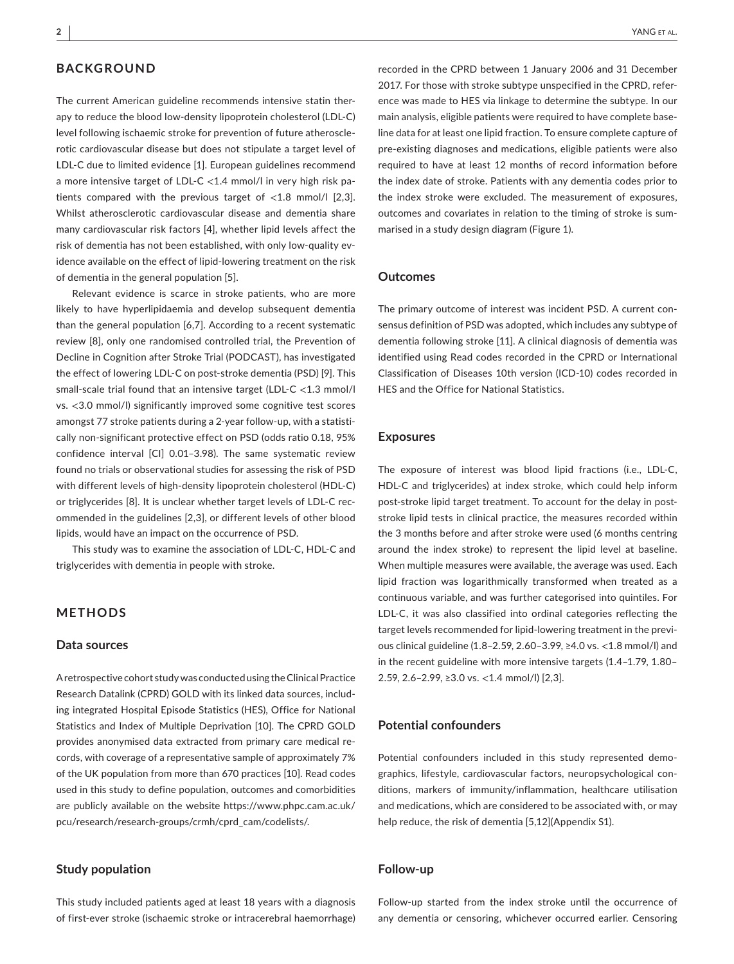# **BACKGROUND**

The current American guideline recommends intensive statin therapy to reduce the blood low-density lipoprotein cholesterol (LDL-C) level following ischaemic stroke for prevention of future atherosclerotic cardiovascular disease but does not stipulate a target level of LDL-C due to limited evidence [1]. European guidelines recommend a more intensive target of LDL-C <1.4 mmol/l in very high risk patients compared with the previous target of <1.8 mmol/l [2,3]. Whilst atherosclerotic cardiovascular disease and dementia share many cardiovascular risk factors [4], whether lipid levels affect the risk of dementia has not been established, with only low-quality evidence available on the effect of lipid-lowering treatment on the risk of dementia in the general population [5].

Relevant evidence is scarce in stroke patients, who are more likely to have hyperlipidaemia and develop subsequent dementia than the general population [6,7]. According to a recent systematic review [8], only one randomised controlled trial, the Prevention of Decline in Cognition after Stroke Trial (PODCAST), has investigated the effect of lowering LDL-C on post-stroke dementia (PSD) [9]. This small-scale trial found that an intensive target (LDL-C <1.3 mmol/l vs. <3.0 mmol/l) significantly improved some cognitive test scores amongst 77 stroke patients during a 2-year follow-up, with a statistically non-significant protective effect on PSD (odds ratio 0.18, 95% confidence interval [CI] 0.01–3.98). The same systematic review found no trials or observational studies for assessing the risk of PSD with different levels of high-density lipoprotein cholesterol (HDL-C) or triglycerides [8]. It is unclear whether target levels of LDL-C recommended in the guidelines [2,3], or different levels of other blood lipids, would have an impact on the occurrence of PSD.

This study was to examine the association of LDL-C, HDL-C and triglycerides with dementia in people with stroke.

# **METHODS**

#### **Data sources**

A retrospective cohort study was conducted using the Clinical Practice Research Datalink (CPRD) GOLD with its linked data sources, including integrated Hospital Episode Statistics (HES), Office for National Statistics and Index of Multiple Deprivation [10]. The CPRD GOLD provides anonymised data extracted from primary care medical records, with coverage of a representative sample of approximately 7% of the UK population from more than 670 practices [10]. Read codes used in this study to define population, outcomes and comorbidities are publicly available on the website [https://www.phpc.cam.ac.uk/](https://www.phpc.cam.ac.uk/pcu/research/research-groups/crmh/cprd_cam/codelists/) [pcu/research/research-groups/crmh/cprd\\_cam/codelists/](https://www.phpc.cam.ac.uk/pcu/research/research-groups/crmh/cprd_cam/codelists/).

# **Study population**

This study included patients aged at least 18 years with a diagnosis of first-ever stroke (ischaemic stroke or intracerebral haemorrhage) recorded in the CPRD between 1 January 2006 and 31 December 2017. For those with stroke subtype unspecified in the CPRD, reference was made to HES via linkage to determine the subtype. In our main analysis, eligible patients were required to have complete baseline data for at least one lipid fraction. To ensure complete capture of pre-existing diagnoses and medications, eligible patients were also required to have at least 12 months of record information before the index date of stroke. Patients with any dementia codes prior to the index stroke were excluded. The measurement of exposures, outcomes and covariates in relation to the timing of stroke is summarised in a study design diagram (Figure 1).

#### **Outcomes**

The primary outcome of interest was incident PSD. A current consensus definition of PSD was adopted, which includes any subtype of dementia following stroke [11]. A clinical diagnosis of dementia was identified using Read codes recorded in the CPRD or International Classification of Diseases 10th version (ICD-10) codes recorded in HES and the Office for National Statistics.

## **Exposures**

The exposure of interest was blood lipid fractions (i.e., LDL-C, HDL-C and triglycerides) at index stroke, which could help inform post-stroke lipid target treatment. To account for the delay in poststroke lipid tests in clinical practice, the measures recorded within the 3 months before and after stroke were used (6 months centring around the index stroke) to represent the lipid level at baseline. When multiple measures were available, the average was used. Each lipid fraction was logarithmically transformed when treated as a continuous variable, and was further categorised into quintiles. For LDL-C, it was also classified into ordinal categories reflecting the target levels recommended for lipid-lowering treatment in the previous clinical guideline (1.8–2.59, 2.60–3.99, ≥4.0 vs. <1.8 mmol/l) and in the recent guideline with more intensive targets (1.4–1.79, 1.80– 2.59, 2.6–2.99, ≥3.0 vs. <1.4 mmol/l) [2,3].

#### **Potential confounders**

Potential confounders included in this study represented demographics, lifestyle, cardiovascular factors, neuropsychological conditions, markers of immunity/inflammation, healthcare utilisation and medications, which are considered to be associated with, or may help reduce, the risk of dementia [5,12](Appendix S1).

## **Follow-up**

Follow-up started from the index stroke until the occurrence of any dementia or censoring, whichever occurred earlier. Censoring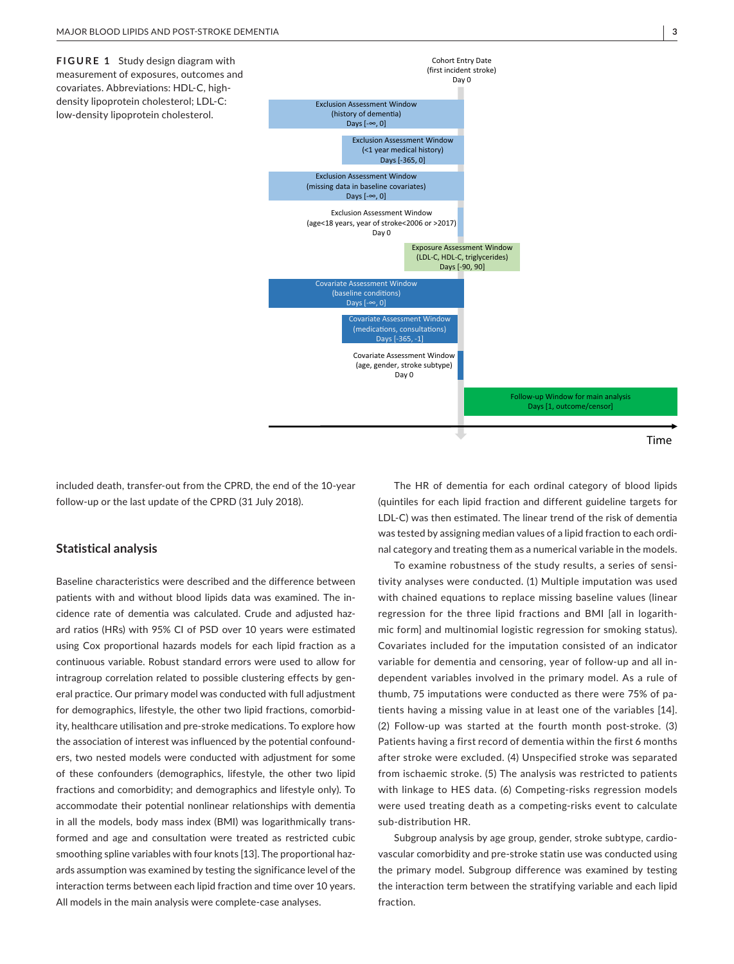**FIGURE 1** Study design diagram with measurement of exposures, outcomes and covariates. Abbreviations: HDL-C, highdensity lipoprotein cholesterol; LDL-C: low-density lipoprotein cholesterol.



included death, transfer-out from the CPRD, the end of the 10-year follow-up or the last update of the CPRD (31 July 2018).

## **Statistical analysis**

Baseline characteristics were described and the difference between patients with and without blood lipids data was examined. The incidence rate of dementia was calculated. Crude and adjusted hazard ratios (HRs) with 95% CI of PSD over 10 years were estimated using Cox proportional hazards models for each lipid fraction as a continuous variable. Robust standard errors were used to allow for intragroup correlation related to possible clustering effects by general practice. Our primary model was conducted with full adjustment for demographics, lifestyle, the other two lipid fractions, comorbidity, healthcare utilisation and pre-stroke medications. To explore how the association of interest was influenced by the potential confounders, two nested models were conducted with adjustment for some of these confounders (demographics, lifestyle, the other two lipid fractions and comorbidity; and demographics and lifestyle only). To accommodate their potential nonlinear relationships with dementia in all the models, body mass index (BMI) was logarithmically transformed and age and consultation were treated as restricted cubic smoothing spline variables with four knots [13]. The proportional hazards assumption was examined by testing the significance level of the interaction terms between each lipid fraction and time over 10 years. All models in the main analysis were complete-case analyses.

The HR of dementia for each ordinal category of blood lipids (quintiles for each lipid fraction and different guideline targets for LDL-C) was then estimated. The linear trend of the risk of dementia was tested by assigning median values of a lipid fraction to each ordinal category and treating them as a numerical variable in the models.

To examine robustness of the study results, a series of sensitivity analyses were conducted. (1) Multiple imputation was used with chained equations to replace missing baseline values (linear regression for the three lipid fractions and BMI [all in logarithmic form] and multinomial logistic regression for smoking status). Covariates included for the imputation consisted of an indicator variable for dementia and censoring, year of follow-up and all independent variables involved in the primary model. As a rule of thumb, 75 imputations were conducted as there were 75% of patients having a missing value in at least one of the variables [14]. (2) Follow-up was started at the fourth month post-stroke. (3) Patients having a first record of dementia within the first 6 months after stroke were excluded. (4) Unspecified stroke was separated from ischaemic stroke. (5) The analysis was restricted to patients with linkage to HES data. (6) Competing-risks regression models were used treating death as a competing-risks event to calculate sub-distribution HR.

Subgroup analysis by age group, gender, stroke subtype, cardiovascular comorbidity and pre-stroke statin use was conducted using the primary model. Subgroup difference was examined by testing the interaction term between the stratifying variable and each lipid fraction.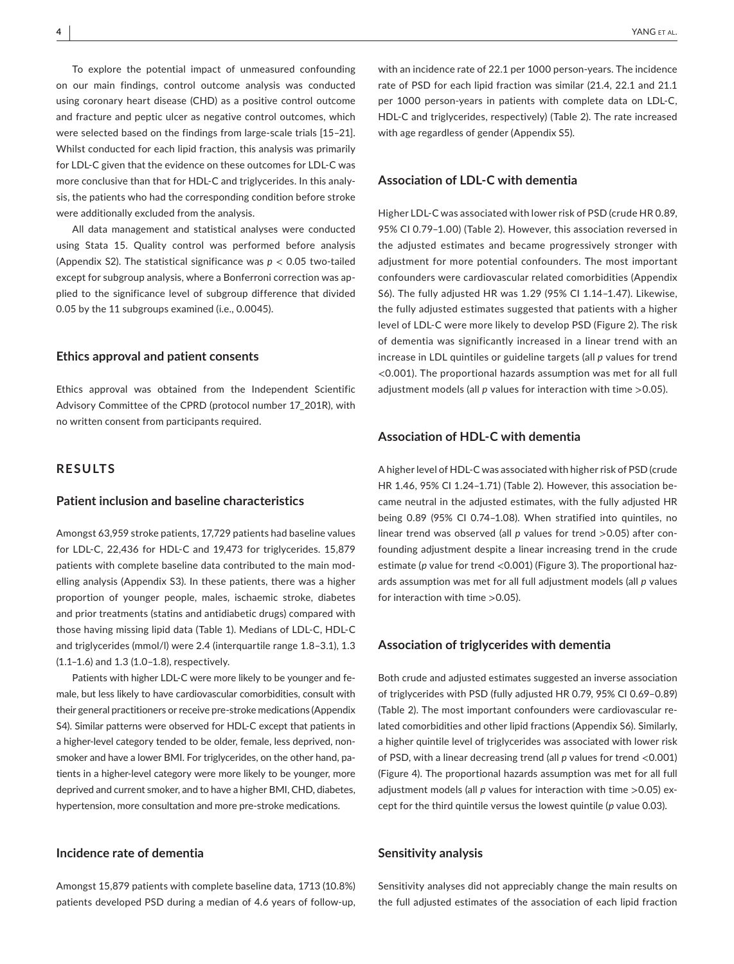To explore the potential impact of unmeasured confounding on our main findings, control outcome analysis was conducted using coronary heart disease (CHD) as a positive control outcome and fracture and peptic ulcer as negative control outcomes, which were selected based on the findings from large-scale trials [15–21]. Whilst conducted for each lipid fraction, this analysis was primarily for LDL-C given that the evidence on these outcomes for LDL-C was more conclusive than that for HDL-C and triglycerides. In this analysis, the patients who had the corresponding condition before stroke were additionally excluded from the analysis.

All data management and statistical analyses were conducted using Stata 15. Quality control was performed before analysis (Appendix S2). The statistical significance was *p* < 0.05 two-tailed except for subgroup analysis, where a Bonferroni correction was applied to the significance level of subgroup difference that divided 0.05 by the 11 subgroups examined (i.e., 0.0045).

### **Ethics approval and patient consents**

Ethics approval was obtained from the Independent Scientific Advisory Committee of the CPRD (protocol number 17\_201R), with no written consent from participants required.

# **RESULTS**

## **Patient inclusion and baseline characteristics**

Amongst 63,959 stroke patients, 17,729 patients had baseline values for LDL-C, 22,436 for HDL-C and 19,473 for triglycerides. 15,879 patients with complete baseline data contributed to the main modelling analysis (Appendix S3). In these patients, there was a higher proportion of younger people, males, ischaemic stroke, diabetes and prior treatments (statins and antidiabetic drugs) compared with those having missing lipid data (Table 1). Medians of LDL-C, HDL-C and triglycerides (mmol/l) were 2.4 (interquartile range 1.8–3.1), 1.3 (1.1–1.6) and 1.3 (1.0–1.8), respectively.

Patients with higher LDL-C were more likely to be younger and female, but less likely to have cardiovascular comorbidities, consult with their general practitioners or receive pre-stroke medications (Appendix S4). Similar patterns were observed for HDL-C except that patients in a higher-level category tended to be older, female, less deprived, nonsmoker and have a lower BMI. For triglycerides, on the other hand, patients in a higher-level category were more likely to be younger, more deprived and current smoker, and to have a higher BMI, CHD, diabetes, hypertension, more consultation and more pre-stroke medications.

# **Incidence rate of dementia**

Amongst 15,879 patients with complete baseline data, 1713 (10.8%) patients developed PSD during a median of 4.6 years of follow-up,

with an incidence rate of 22.1 per 1000 person-years. The incidence rate of PSD for each lipid fraction was similar (21.4, 22.1 and 21.1 per 1000 person-years in patients with complete data on LDL-C, HDL-C and triglycerides, respectively) (Table 2). The rate increased with age regardless of gender (Appendix S5).

# **Association of LDL-C with dementia**

Higher LDL-C was associated with lower risk of PSD (crude HR 0.89, 95% CI 0.79–1.00) (Table 2). However, this association reversed in the adjusted estimates and became progressively stronger with adjustment for more potential confounders. The most important confounders were cardiovascular related comorbidities (Appendix S6). The fully adjusted HR was 1.29 (95% CI 1.14–1.47). Likewise, the fully adjusted estimates suggested that patients with a higher level of LDL-C were more likely to develop PSD (Figure 2). The risk of dementia was significantly increased in a linear trend with an increase in LDL quintiles or guideline targets (all *p* values for trend <0.001). The proportional hazards assumption was met for all full adjustment models (all *p* values for interaction with time >0.05).

#### **Association of HDL-C with dementia**

A higher level of HDL-C was associated with higher risk of PSD (crude HR 1.46, 95% CI 1.24–1.71) (Table 2). However, this association became neutral in the adjusted estimates, with the fully adjusted HR being 0.89 (95% CI 0.74–1.08). When stratified into quintiles, no linear trend was observed (all *p* values for trend >0.05) after confounding adjustment despite a linear increasing trend in the crude estimate (*p* value for trend <0.001) (Figure 3). The proportional hazards assumption was met for all full adjustment models (all *p* values for interaction with time >0.05).

## **Association of triglycerides with dementia**

Both crude and adjusted estimates suggested an inverse association of triglycerides with PSD (fully adjusted HR 0.79, 95% CI 0.69–0.89) (Table 2). The most important confounders were cardiovascular related comorbidities and other lipid fractions (Appendix S6). Similarly, a higher quintile level of triglycerides was associated with lower risk of PSD, with a linear decreasing trend (all *p* values for trend <0.001) (Figure 4). The proportional hazards assumption was met for all full adjustment models (all *p* values for interaction with time >0.05) except for the third quintile versus the lowest quintile (*p* value 0.03).

#### **Sensitivity analysis**

Sensitivity analyses did not appreciably change the main results on the full adjusted estimates of the association of each lipid fraction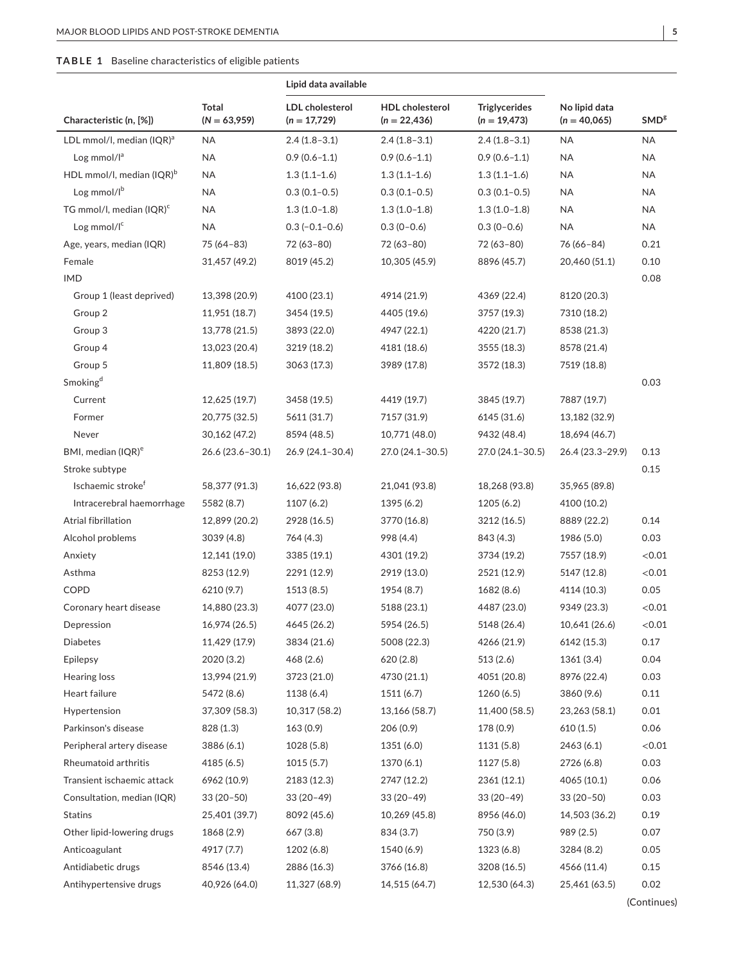## **TABLE 1** Baseline characteristics of eligible patients

|                                       |                         | Lipid data available                     |                                          |                                        |                                 |                  |
|---------------------------------------|-------------------------|------------------------------------------|------------------------------------------|----------------------------------------|---------------------------------|------------------|
| Characteristic (n, [%])               | Total<br>$(N = 63,959)$ | <b>LDL</b> cholesterol<br>$(n = 17,729)$ | <b>HDL</b> cholesterol<br>$(n = 22,436)$ | <b>Triglycerides</b><br>$(n = 19,473)$ | No lipid data<br>$(n = 40,065)$ | SMD <sup>g</sup> |
| LDL mmol/l, median $(IQR)^a$          | NA                      | $2.4(1.8-3.1)$                           | $2.4(1.8-3.1)$                           | $2.4(1.8-3.1)$                         | <b>NA</b>                       | ΝA               |
| Log mmol/ $I^a$                       | <b>NA</b>               | $0.9(0.6 - 1.1)$                         | $0.9(0.6 - 1.1)$                         | $0.9(0.6 - 1.1)$                       | <b>NA</b>                       | <b>NA</b>        |
| HDL mmol/l, median (IQR) <sup>b</sup> | <b>NA</b>               | $1.3(1.1-1.6)$                           | $1.3(1.1-1.6)$                           | $1.3(1.1-1.6)$                         | <b>NA</b>                       | NA               |
| Log mmol/lb                           | <b>NA</b>               | $0.3(0.1 - 0.5)$                         | $0.3(0.1-0.5)$                           | $0.3(0.1-0.5)$                         | <b>NA</b>                       | ΝA               |
| TG mmol/l, median (IQR) <sup>c</sup>  | <b>NA</b>               | $1.3(1.0-1.8)$                           | $1.3(1.0-1.8)$                           | $1.3(1.0-1.8)$                         | <b>NA</b>                       | <b>NA</b>        |
| Log mmol/I <sup>c</sup>               | <b>NA</b>               | $0.3(-0.1-0.6)$                          | $0.3(0-0.6)$                             | $0.3(0-0.6)$                           | <b>NA</b>                       | <b>NA</b>        |
| Age, years, median (IQR)              | 75 (64-83)              | 72 (63-80)                               | 72 (63-80)                               | 72 (63-80)                             | 76 (66-84)                      | 0.21             |
| Female                                | 31,457 (49.2)           | 8019 (45.2)                              | 10,305 (45.9)                            | 8896 (45.7)                            | 20,460 (51.1)                   | 0.10             |
| <b>IMD</b>                            |                         |                                          |                                          |                                        |                                 | 0.08             |
| Group 1 (least deprived)              | 13,398 (20.9)           | 4100 (23.1)                              | 4914 (21.9)                              | 4369 (22.4)                            | 8120 (20.3)                     |                  |
| Group 2                               | 11,951 (18.7)           | 3454 (19.5)                              | 4405 (19.6)                              | 3757 (19.3)                            | 7310 (18.2)                     |                  |
| Group 3                               | 13,778 (21.5)           | 3893 (22.0)                              | 4947 (22.1)                              | 4220 (21.7)                            | 8538 (21.3)                     |                  |
| Group 4                               | 13,023 (20.4)           | 3219 (18.2)                              | 4181 (18.6)                              | 3555 (18.3)                            | 8578 (21.4)                     |                  |
| Group 5                               | 11,809 (18.5)           | 3063 (17.3)                              | 3989 (17.8)                              | 3572 (18.3)                            | 7519 (18.8)                     |                  |
| Smoking <sup>d</sup>                  |                         |                                          |                                          |                                        |                                 | 0.03             |
| Current                               | 12,625 (19.7)           | 3458 (19.5)                              | 4419 (19.7)                              | 3845 (19.7)                            | 7887 (19.7)                     |                  |
| Former                                | 20,775 (32.5)           | 5611 (31.7)                              | 7157 (31.9)                              | 6145 (31.6)                            | 13,182 (32.9)                   |                  |
| Never                                 | 30,162 (47.2)           | 8594 (48.5)                              | 10,771 (48.0)                            | 9432 (48.4)                            | 18,694 (46.7)                   |                  |
| BMI, median (IQR) <sup>e</sup>        | 26.6 (23.6-30.1)        | 26.9 (24.1-30.4)                         | 27.0 (24.1-30.5)                         | 27.0 (24.1-30.5)                       | 26.4 (23.3-29.9)                | 0.13             |
| Stroke subtype                        |                         |                                          |                                          |                                        |                                 | 0.15             |
| Ischaemic stroke <sup>r</sup>         | 58,377 (91.3)           | 16,622 (93.8)                            | 21,041 (93.8)                            | 18,268 (93.8)                          | 35,965 (89.8)                   |                  |
| Intracerebral haemorrhage             | 5582 (8.7)              | 1107 (6.2)                               | 1395 (6.2)                               | 1205 (6.2)                             | 4100 (10.2)                     |                  |
| Atrial fibrillation                   | 12,899 (20.2)           | 2928 (16.5)                              | 3770 (16.8)                              | 3212 (16.5)                            | 8889 (22.2)                     | 0.14             |
| Alcohol problems                      | 3039 (4.8)              | 764 (4.3)                                | 998 (4.4)                                | 843 (4.3)                              | 1986 (5.0)                      | 0.03             |
| Anxiety                               | 12,141 (19.0)           | 3385 (19.1)                              | 4301 (19.2)                              | 3734 (19.2)                            | 7557 (18.9)                     | < 0.01           |
| Asthma                                | 8253 (12.9)             | 2291 (12.9)                              | 2919 (13.0)                              | 2521 (12.9)                            | 5147 (12.8)                     | < 0.01           |
| COPD                                  | 6210 (9.7)              | 1513 (8.5)                               | 1954 (8.7)                               | 1682 (8.6)                             | 4114 (10.3)                     | 0.05             |
| Coronary heart disease                | 14,880 (23.3)           | 4077 (23.0)                              | 5188 (23.1)                              | 4487 (23.0)                            | 9349 (23.3)                     | < 0.01           |
| Depression                            | 16,974 (26.5)           | 4645 (26.2)                              | 5954 (26.5)                              | 5148 (26.4)                            | 10,641 (26.6)                   | < 0.01           |
| <b>Diabetes</b>                       | 11,429 (17.9)           | 3834 (21.6)                              | 5008 (22.3)                              | 4266 (21.9)                            | 6142 (15.3)                     | 0.17             |
| Epilepsy                              | 2020 (3.2)              | 468(2.6)                                 | 620(2.8)                                 | 513(2.6)                               | 1361(3.4)                       | 0.04             |
| <b>Hearing loss</b>                   | 13,994 (21.9)           | 3723 (21.0)                              | 4730 (21.1)                              | 4051 (20.8)                            | 8976 (22.4)                     | 0.03             |
| Heart failure                         | 5472 (8.6)              | 1138 (6.4)                               | 1511 (6.7)                               | 1260(6.5)                              | 3860 (9.6)                      | 0.11             |
| Hypertension                          | 37,309 (58.3)           | 10,317 (58.2)                            | 13,166 (58.7)                            | 11,400 (58.5)                          | 23,263 (58.1)                   | 0.01             |
| Parkinson's disease                   | 828 (1.3)               | 163(0.9)                                 | 206 (0.9)                                | 178 (0.9)                              | 610(1.5)                        | 0.06             |
| Peripheral artery disease             | 3886 (6.1)              | 1028 (5.8)                               | 1351 (6.0)                               | 1131 (5.8)                             | 2463 (6.1)                      | < 0.01           |
| Rheumatoid arthritis                  | 4185 (6.5)              | 1015(5.7)                                | 1370 (6.1)                               | 1127 (5.8)                             | 2726 (6.8)                      | 0.03             |
| Transient ischaemic attack            | 6962 (10.9)             | 2183 (12.3)                              | 2747 (12.2)                              | 2361 (12.1)                            | 4065 (10.1)                     | 0.06             |
| Consultation, median (IQR)            | $33(20-50)$             | $33(20-49)$                              | $33(20-49)$                              | $33(20-49)$                            | $33(20-50)$                     | 0.03             |
| <b>Statins</b>                        | 25,401 (39.7)           | 8092 (45.6)                              | 10,269 (45.8)                            | 8956 (46.0)                            | 14,503 (36.2)                   | 0.19             |
| Other lipid-lowering drugs            | 1868 (2.9)              | 667 (3.8)                                | 834 (3.7)                                | 750 (3.9)                              | 989 (2.5)                       | 0.07             |
| Anticoagulant                         | 4917 (7.7)              | 1202 (6.8)                               | 1540 (6.9)                               | 1323 (6.8)                             | 3284 (8.2)                      | 0.05             |
| Antidiabetic drugs                    | 8546 (13.4)             | 2886 (16.3)                              | 3766 (16.8)                              | 3208 (16.5)                            | 4566 (11.4)                     | 0.15             |
| Antihypertensive drugs                | 40,926 (64.0)           | 11,327 (68.9)                            | 14,515 (64.7)                            | 12,530 (64.3)                          | 25,461 (63.5)                   | 0.02             |

(Continues)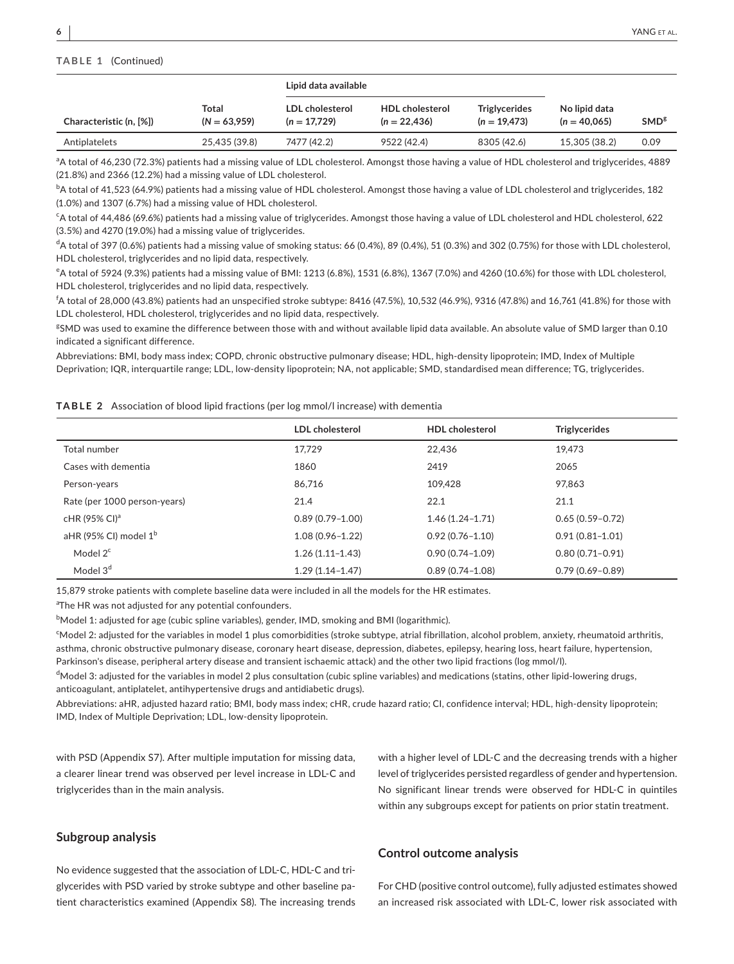# **TABLE 1** (Continued)

|                         |                         | Lipid data available              |                                          |                                        |                                 |                  |
|-------------------------|-------------------------|-----------------------------------|------------------------------------------|----------------------------------------|---------------------------------|------------------|
| Characteristic (n, [%]) | Total<br>$(N = 63.959)$ | LDL cholesterol<br>$(n = 17.729)$ | <b>HDL</b> cholesterol<br>$(n = 22.436)$ | <b>Triglycerides</b><br>$(n = 19.473)$ | No lipid data<br>$(n = 40.065)$ | SMD <sup>g</sup> |
| Antiplatelets           | 25.435 (39.8)           | 7477 (42.2)                       | 9522 (42.4)                              | 8305 (42.6)                            | 15.305 (38.2)                   | 0.09             |

<sup>a</sup>A total of 46,230 (72.3%) patients had a missing value of LDL cholesterol. Amongst those having a value of HDL cholesterol and triglycerides, 4889 (21.8%) and 2366 (12.2%) had a missing value of LDL cholesterol.

 $^{\rm b}$ A total of 41,523 (64.9%) patients had a missing value of HDL cholesterol. Amongst those having a value of LDL cholesterol and triglycerides, 182 (1.0%) and 1307 (6.7%) had a missing value of HDL cholesterol.

c A total of 44,486 (69.6%) patients had a missing value of triglycerides. Amongst those having a value of LDL cholesterol and HDL cholesterol, 622 (3.5%) and 4270 (19.0%) had a missing value of triglycerides.

d A total of 397 (0.6%) patients had a missing value of smoking status: 66 (0.4%), 89 (0.4%), 51 (0.3%) and 302 (0.75%) for those with LDL cholesterol, HDL cholesterol, triglycerides and no lipid data, respectively.

e A total of 5924 (9.3%) patients had a missing value of BMI: 1213 (6.8%), 1531 (6.8%), 1367 (7.0%) and 4260 (10.6%) for those with LDL cholesterol, HDL cholesterol, triglycerides and no lipid data, respectively.

f A total of 28,000 (43.8%) patients had an unspecified stroke subtype: 8416 (47.5%), 10,532 (46.9%), 9316 (47.8%) and 16,761 (41.8%) for those with LDL cholesterol, HDL cholesterol, triglycerides and no lipid data, respectively.

g SMD was used to examine the difference between those with and without available lipid data available. An absolute value of SMD larger than 0.10 indicated a significant difference.

Abbreviations: BMI, body mass index; COPD, chronic obstructive pulmonary disease; HDL, high-density lipoprotein; IMD, Index of Multiple Deprivation; IQR, interquartile range; LDL, low-density lipoprotein; NA, not applicable; SMD, standardised mean difference; TG, triglycerides.

#### **TABLE 2** Association of blood lipid fractions (per log mmol/l increase) with dementia

|                                | LDL cholesterol     | <b>HDL</b> cholesterol | <b>Triglycerides</b> |
|--------------------------------|---------------------|------------------------|----------------------|
| Total number                   | 17,729              | 22.436                 | 19.473               |
| Cases with dementia            | 1860                | 2419                   | 2065                 |
| Person-years                   | 86.716              | 109.428                | 97.863               |
| Rate (per 1000 person-years)   | 21.4                | 22.1                   | 21.1                 |
| cHR (95% CI) <sup>a</sup>      | $0.89(0.79 - 1.00)$ | $1.46(1.24 - 1.71)$    | $0.65(0.59 - 0.72)$  |
| aHR (95% CI) model $1^{\rm b}$ | $1.08(0.96 - 1.22)$ | $0.92(0.76 - 1.10)$    | $0.91(0.81 - 1.01)$  |
| Model $2^c$                    | $1.26(1.11 - 1.43)$ | $0.90(0.74 - 1.09)$    | $0.80(0.71 - 0.91)$  |
| Model 3 <sup>d</sup>           | $1.29(1.14 - 1.47)$ | $0.89(0.74 - 1.08)$    | $0.79(0.69 - 0.89)$  |

15,879 stroke patients with complete baseline data were included in all the models for the HR estimates.

<sup>a</sup>The HR was not adjusted for any potential confounders.

 $^{\rm b}$ Model 1: adjusted for age (cubic spline variables), gender, IMD, smoking and BMI (logarithmic).

c Model 2: adjusted for the variables in model 1 plus comorbidities (stroke subtype, atrial fibrillation, alcohol problem, anxiety, rheumatoid arthritis, asthma, chronic obstructive pulmonary disease, coronary heart disease, depression, diabetes, epilepsy, hearing loss, heart failure, hypertension, Parkinson's disease, peripheral artery disease and transient ischaemic attack) and the other two lipid fractions (log mmol/l).

<sup>d</sup>Model 3: adjusted for the variables in model 2 plus consultation (cubic spline variables) and medications (statins, other lipid-lowering drugs, anticoagulant, antiplatelet, antihypertensive drugs and antidiabetic drugs).

Abbreviations: aHR, adjusted hazard ratio; BMI, body mass index; cHR, crude hazard ratio; CI, confidence interval; HDL, high-density lipoprotein; IMD, Index of Multiple Deprivation; LDL, low-density lipoprotein.

with PSD (Appendix S7). After multiple imputation for missing data, a clearer linear trend was observed per level increase in LDL-C and triglycerides than in the main analysis.

with a higher level of LDL-C and the decreasing trends with a higher level of triglycerides persisted regardless of gender and hypertension. No significant linear trends were observed for HDL-C in quintiles within any subgroups except for patients on prior statin treatment.

#### **Subgroup analysis**

No evidence suggested that the association of LDL-C, HDL-C and triglycerides with PSD varied by stroke subtype and other baseline patient characteristics examined (Appendix S8). The increasing trends

#### **Control outcome analysis**

For CHD (positive control outcome), fully adjusted estimates showed an increased risk associated with LDL-C, lower risk associated with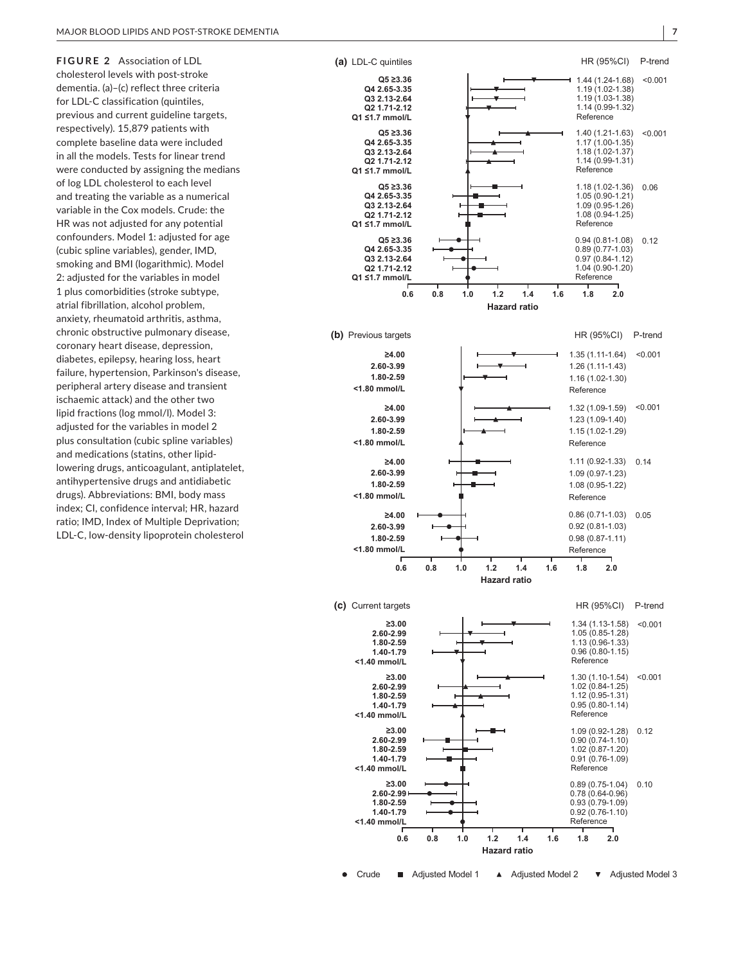**FIGURE 2** Association of LDL cholesterol levels with post-stroke dementia. (a)–(c) reflect three criteria for LDL-C classification (quintiles, previous and current guideline targets, respectively). 15,879 patients with complete baseline data were included in all the models. Tests for linear trend were conducted by assigning the medians of log LDL cholesterol to each level and treating the variable as a numerical variable in the Cox models. Crude: the HR was not adjusted for any potential confounders. Model 1: adjusted for age (cubic spline variables), gender, IMD, smoking and BMI (logarithmic). Model 2: adjusted for the variables in model 1 plus comorbidities (stroke subtype, atrial fibrillation, alcohol problem, anxiety, rheumatoid arthritis, asthma, chronic obstructive pulmonary disease, coronary heart disease, depression, diabetes, epilepsy, hearing loss, heart failure, hypertension, Parkinson's disease, peripheral artery disease and transient ischaemic attack) and the other two lipid fractions (log mmol/l). Model 3: adjusted for the variables in model 2 plus consultation (cubic spline variables) and medications (statins, other lipidlowering drugs, anticoagulant, antiplatelet, antihypertensive drugs and antidiabetic drugs). Abbreviations: BMI, body mass index; CI, confidence interval; HR, hazard ratio; IMD, Index of Multiple Deprivation; LDL-C, low-density lipoprotein cholesterol

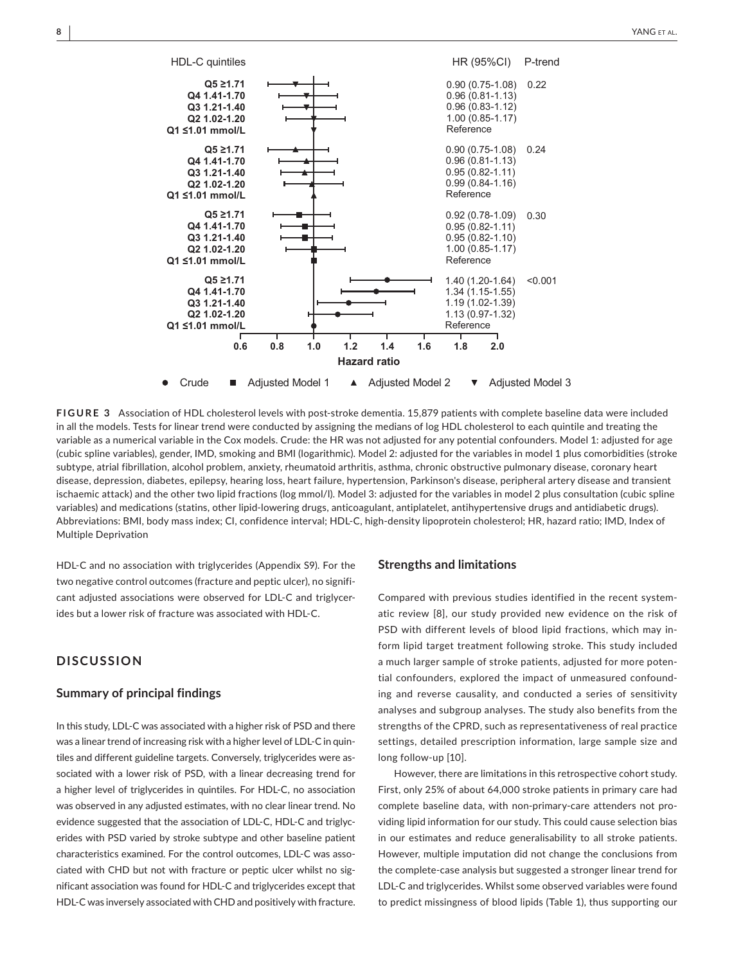

**FIGURE 3** Association of HDL cholesterol levels with post-stroke dementia. 15,879 patients with complete baseline data were included in all the models. Tests for linear trend were conducted by assigning the medians of log HDL cholesterol to each quintile and treating the variable as a numerical variable in the Cox models. Crude: the HR was not adjusted for any potential confounders. Model 1: adjusted for age (cubic spline variables), gender, IMD, smoking and BMI (logarithmic). Model 2: adjusted for the variables in model 1 plus comorbidities (stroke subtype, atrial fibrillation, alcohol problem, anxiety, rheumatoid arthritis, asthma, chronic obstructive pulmonary disease, coronary heart disease, depression, diabetes, epilepsy, hearing loss, heart failure, hypertension, Parkinson's disease, peripheral artery disease and transient ischaemic attack) and the other two lipid fractions (log mmol/l). Model 3: adjusted for the variables in model 2 plus consultation (cubic spline variables) and medications (statins, other lipid-lowering drugs, anticoagulant, antiplatelet, antihypertensive drugs and antidiabetic drugs). Abbreviations: BMI, body mass index; CI, confidence interval; HDL-C, high-density lipoprotein cholesterol; HR, hazard ratio; IMD, Index of Multiple Deprivation

HDL-C and no association with triglycerides (Appendix S9). For the two negative control outcomes (fracture and peptic ulcer), no significant adjusted associations were observed for LDL-C and triglycerides but a lower risk of fracture was associated with HDL-C.

# **DISCUSSION**

#### **Summary of principal findings**

In this study, LDL-C was associated with a higher risk of PSD and there was a linear trend of increasing risk with a higher level of LDL-C in quintiles and different guideline targets. Conversely, triglycerides were associated with a lower risk of PSD, with a linear decreasing trend for a higher level of triglycerides in quintiles. For HDL-C, no association was observed in any adjusted estimates, with no clear linear trend. No evidence suggested that the association of LDL-C, HDL-C and triglycerides with PSD varied by stroke subtype and other baseline patient characteristics examined. For the control outcomes, LDL-C was associated with CHD but not with fracture or peptic ulcer whilst no significant association was found for HDL-C and triglycerides except that HDL-C was inversely associated with CHD and positively with fracture.

## **Strengths and limitations**

Compared with previous studies identified in the recent systematic review [8], our study provided new evidence on the risk of PSD with different levels of blood lipid fractions, which may inform lipid target treatment following stroke. This study included a much larger sample of stroke patients, adjusted for more potential confounders, explored the impact of unmeasured confounding and reverse causality, and conducted a series of sensitivity analyses and subgroup analyses. The study also benefits from the strengths of the CPRD, such as representativeness of real practice settings, detailed prescription information, large sample size and long follow-up [10].

However, there are limitations in this retrospective cohort study. First, only 25% of about 64,000 stroke patients in primary care had complete baseline data, with non-primary-care attenders not providing lipid information for our study. This could cause selection bias in our estimates and reduce generalisability to all stroke patients. However, multiple imputation did not change the conclusions from the complete-case analysis but suggested a stronger linear trend for LDL-C and triglycerides. Whilst some observed variables were found to predict missingness of blood lipids (Table 1), thus supporting our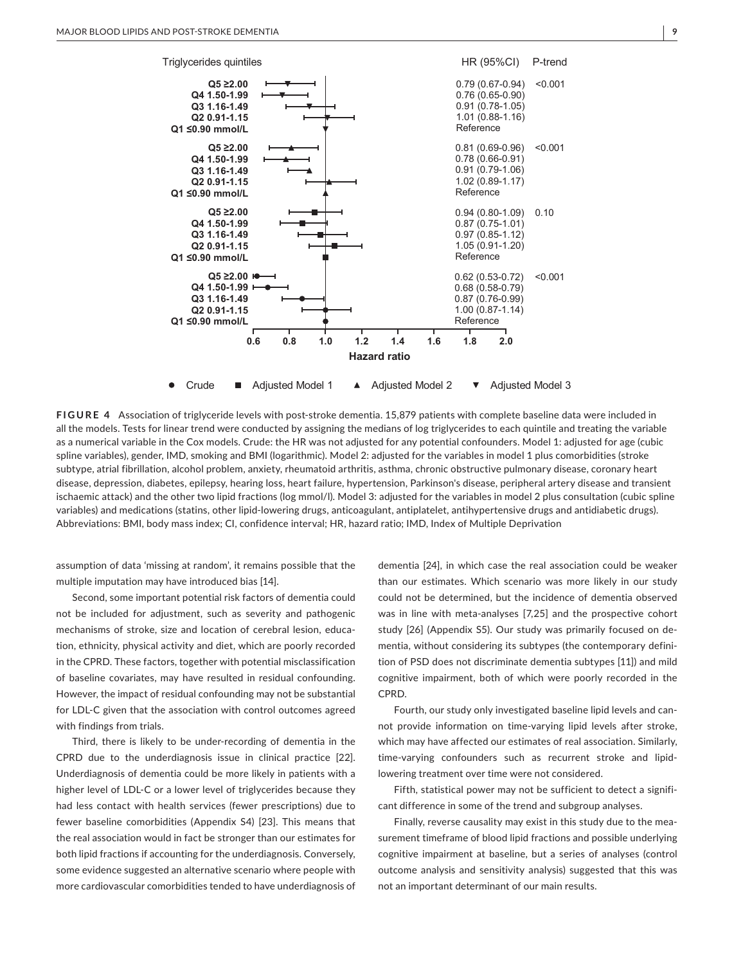

**FIGURE 4** Association of triglyceride levels with post-stroke dementia. 15,879 patients with complete baseline data were included in all the models. Tests for linear trend were conducted by assigning the medians of log triglycerides to each quintile and treating the variable as a numerical variable in the Cox models. Crude: the HR was not adjusted for any potential confounders. Model 1: adjusted for age (cubic spline variables), gender, IMD, smoking and BMI (logarithmic). Model 2: adjusted for the variables in model 1 plus comorbidities (stroke subtype, atrial fibrillation, alcohol problem, anxiety, rheumatoid arthritis, asthma, chronic obstructive pulmonary disease, coronary heart disease, depression, diabetes, epilepsy, hearing loss, heart failure, hypertension, Parkinson's disease, peripheral artery disease and transient ischaemic attack) and the other two lipid fractions (log mmol/l). Model 3: adjusted for the variables in model 2 plus consultation (cubic spline variables) and medications (statins, other lipid-lowering drugs, anticoagulant, antiplatelet, antihypertensive drugs and antidiabetic drugs). Abbreviations: BMI, body mass index; CI, confidence interval; HR, hazard ratio; IMD, Index of Multiple Deprivation

assumption of data 'missing at random', it remains possible that the multiple imputation may have introduced bias [14].

Second, some important potential risk factors of dementia could not be included for adjustment, such as severity and pathogenic mechanisms of stroke, size and location of cerebral lesion, education, ethnicity, physical activity and diet, which are poorly recorded in the CPRD. These factors, together with potential misclassification of baseline covariates, may have resulted in residual confounding. However, the impact of residual confounding may not be substantial for LDL-C given that the association with control outcomes agreed with findings from trials.

Third, there is likely to be under-recording of dementia in the CPRD due to the underdiagnosis issue in clinical practice [22]. Underdiagnosis of dementia could be more likely in patients with a higher level of LDL-C or a lower level of triglycerides because they had less contact with health services (fewer prescriptions) due to fewer baseline comorbidities (Appendix S4) [23]. This means that the real association would in fact be stronger than our estimates for both lipid fractions if accounting for the underdiagnosis. Conversely, some evidence suggested an alternative scenario where people with more cardiovascular comorbidities tended to have underdiagnosis of

dementia [24], in which case the real association could be weaker than our estimates. Which scenario was more likely in our study could not be determined, but the incidence of dementia observed was in line with meta-analyses [7,25] and the prospective cohort study [26] (Appendix S5). Our study was primarily focused on dementia, without considering its subtypes (the contemporary definition of PSD does not discriminate dementia subtypes [11]) and mild cognitive impairment, both of which were poorly recorded in the CPRD.

Fourth, our study only investigated baseline lipid levels and cannot provide information on time-varying lipid levels after stroke, which may have affected our estimates of real association. Similarly, time-varying confounders such as recurrent stroke and lipidlowering treatment over time were not considered.

Fifth, statistical power may not be sufficient to detect a significant difference in some of the trend and subgroup analyses.

Finally, reverse causality may exist in this study due to the measurement timeframe of blood lipid fractions and possible underlying cognitive impairment at baseline, but a series of analyses (control outcome analysis and sensitivity analysis) suggested that this was not an important determinant of our main results.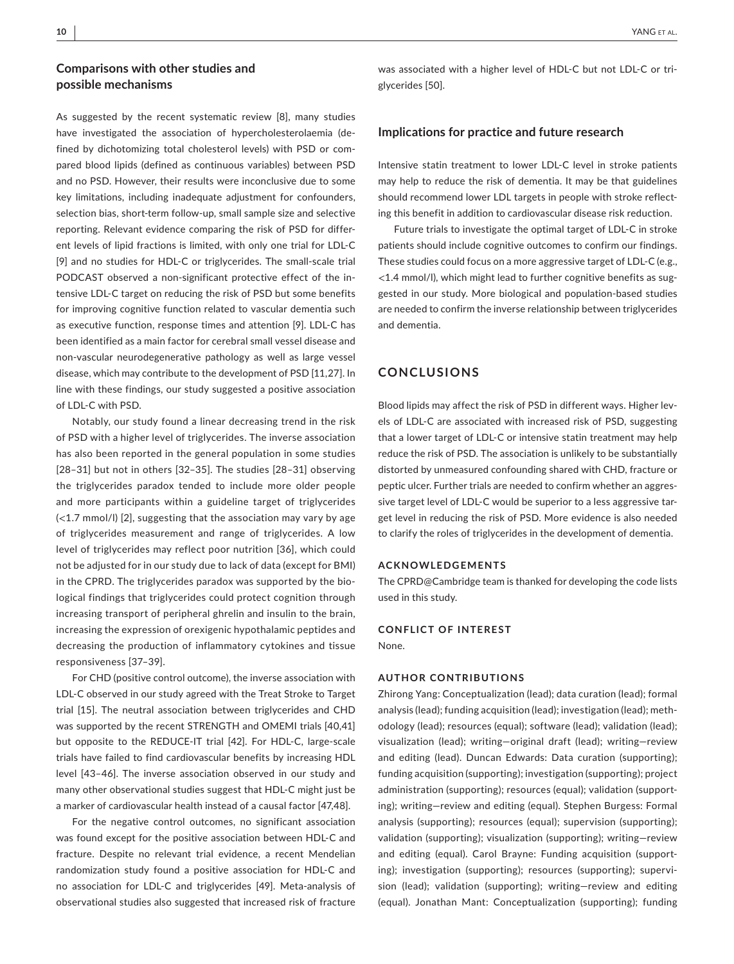# **Comparisons with other studies and possible mechanisms**

As suggested by the recent systematic review [8], many studies have investigated the association of hypercholesterolaemia (defined by dichotomizing total cholesterol levels) with PSD or compared blood lipids (defined as continuous variables) between PSD and no PSD. However, their results were inconclusive due to some key limitations, including inadequate adjustment for confounders, selection bias, short-term follow-up, small sample size and selective reporting. Relevant evidence comparing the risk of PSD for different levels of lipid fractions is limited, with only one trial for LDL-C [9] and no studies for HDL-C or triglycerides. The small-scale trial PODCAST observed a non-significant protective effect of the intensive LDL-C target on reducing the risk of PSD but some benefits for improving cognitive function related to vascular dementia such as executive function, response times and attention [9]. LDL-C has been identified as a main factor for cerebral small vessel disease and non-vascular neurodegenerative pathology as well as large vessel disease, which may contribute to the development of PSD [11,27]. In line with these findings, our study suggested a positive association of LDL-C with PSD.

Notably, our study found a linear decreasing trend in the risk of PSD with a higher level of triglycerides. The inverse association has also been reported in the general population in some studies [28–31] but not in others [32–35]. The studies [28–31] observing the triglycerides paradox tended to include more older people and more participants within a guideline target of triglycerides (<1.7 mmol/l) [2], suggesting that the association may vary by age of triglycerides measurement and range of triglycerides. A low level of triglycerides may reflect poor nutrition [36], which could not be adjusted for in our study due to lack of data (except for BMI) in the CPRD. The triglycerides paradox was supported by the biological findings that triglycerides could protect cognition through increasing transport of peripheral ghrelin and insulin to the brain, increasing the expression of orexigenic hypothalamic peptides and decreasing the production of inflammatory cytokines and tissue responsiveness [37–39].

For CHD (positive control outcome), the inverse association with LDL-C observed in our study agreed with the Treat Stroke to Target trial [15]. The neutral association between triglycerides and CHD was supported by the recent STRENGTH and OMEMI trials [40,41] but opposite to the REDUCE-IT trial [42]. For HDL-C, large-scale trials have failed to find cardiovascular benefits by increasing HDL level [43–46]. The inverse association observed in our study and many other observational studies suggest that HDL-C might just be a marker of cardiovascular health instead of a causal factor [47,48].

For the negative control outcomes, no significant association was found except for the positive association between HDL-C and fracture. Despite no relevant trial evidence, a recent Mendelian randomization study found a positive association for HDL-C and no association for LDL-C and triglycerides [49]. Meta-analysis of observational studies also suggested that increased risk of fracture

was associated with a higher level of HDL-C but not LDL-C or triglycerides [50].

#### **Implications for practice and future research**

Intensive statin treatment to lower LDL-C level in stroke patients may help to reduce the risk of dementia. It may be that guidelines should recommend lower LDL targets in people with stroke reflecting this benefit in addition to cardiovascular disease risk reduction.

Future trials to investigate the optimal target of LDL-C in stroke patients should include cognitive outcomes to confirm our findings. These studies could focus on a more aggressive target of LDL-C (e.g., <1.4 mmol/l), which might lead to further cognitive benefits as suggested in our study. More biological and population-based studies are needed to confirm the inverse relationship between triglycerides and dementia.

## **CONCLUSIONS**

Blood lipids may affect the risk of PSD in different ways. Higher levels of LDL-C are associated with increased risk of PSD, suggesting that a lower target of LDL-C or intensive statin treatment may help reduce the risk of PSD. The association is unlikely to be substantially distorted by unmeasured confounding shared with CHD, fracture or peptic ulcer. Further trials are needed to confirm whether an aggressive target level of LDL-C would be superior to a less aggressive target level in reducing the risk of PSD. More evidence is also needed to clarify the roles of triglycerides in the development of dementia.

#### **ACKNOWLEDGEMENTS**

The CPRD@Cambridge team is thanked for developing the code lists used in this study.

# **CONFLICT OF INTEREST**

None.

#### **AUTHOR CONTRIBUTIONS**

Zhirong Yang: Conceptualization (lead); data curation (lead); formal analysis (lead); funding acquisition (lead); investigation (lead); methodology (lead); resources (equal); software (lead); validation (lead); visualization (lead); writing—original draft (lead); writing—review and editing (lead). Duncan Edwards: Data curation (supporting); funding acquisition (supporting); investigation (supporting); project administration (supporting); resources (equal); validation (supporting); writing—review and editing (equal). Stephen Burgess: Formal analysis (supporting); resources (equal); supervision (supporting); validation (supporting); visualization (supporting); writing—review and editing (equal). Carol Brayne: Funding acquisition (supporting); investigation (supporting); resources (supporting); supervision (lead); validation (supporting); writing—review and editing (equal). Jonathan Mant: Conceptualization (supporting); funding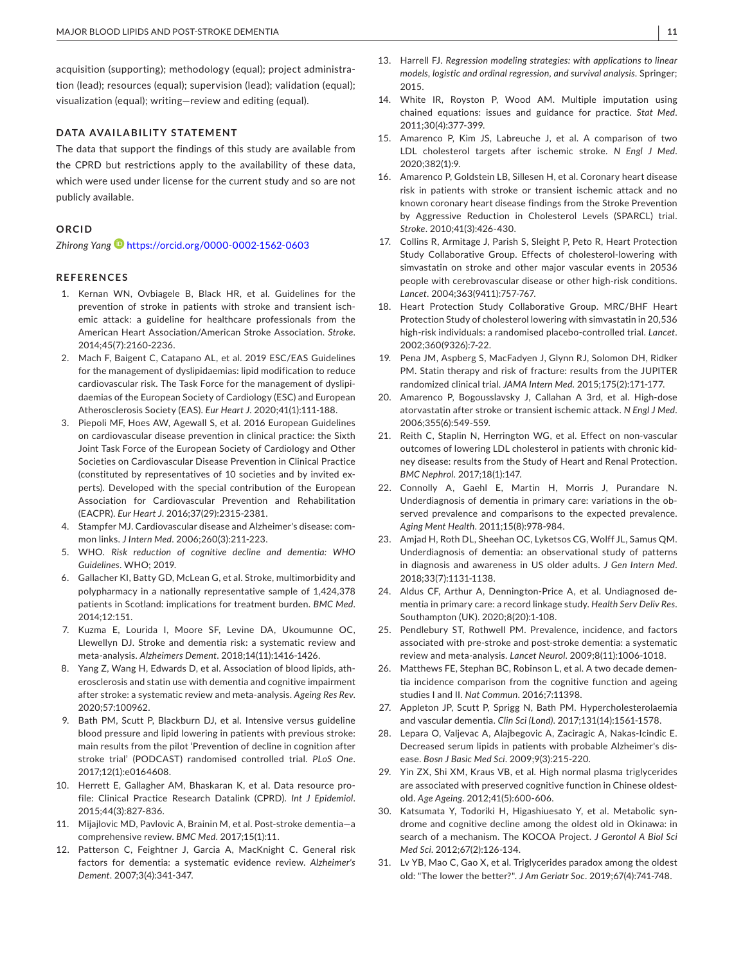acquisition (supporting); methodology (equal); project administration (lead); resources (equal); supervision (lead); validation (equal); visualization (equal); writing—review and editing (equal).

#### **DATA AVAILABILITY STATEMENT**

The data that support the findings of this study are available from the CPRD but restrictions apply to the availability of these data, which were used under license for the current study and so are not publicly available.

# **ORCID**

*Zhirong Yan[g](https://orcid.org/0000-0002-1562-0603)* <https://orcid.org/0000-0002-1562-0603>

#### **REFERENCES**

- 1. Kernan WN, Ovbiagele B, Black HR, et al. Guidelines for the prevention of stroke in patients with stroke and transient ischemic attack: a guideline for healthcare professionals from the American Heart Association/American Stroke Association. *Stroke*. 2014;45(7):2160-2236.
- 2. Mach F, Baigent C, Catapano AL, et al. 2019 ESC/EAS Guidelines for the management of dyslipidaemias: lipid modification to reduce cardiovascular risk. The Task Force for the management of dyslipidaemias of the European Society of Cardiology (ESC) and European Atherosclerosis Society (EAS). *Eur Heart J*. 2020;41(1):111-188.
- 3. Piepoli MF, Hoes AW, Agewall S, et al. 2016 European Guidelines on cardiovascular disease prevention in clinical practice: the Sixth Joint Task Force of the European Society of Cardiology and Other Societies on Cardiovascular Disease Prevention in Clinical Practice (constituted by representatives of 10 societies and by invited experts). Developed with the special contribution of the European Association for Cardiovascular Prevention and Rehabilitation (EACPR). *Eur Heart J*. 2016;37(29):2315-2381.
- 4. Stampfer MJ. Cardiovascular disease and Alzheimer's disease: common links. *J Intern Med*. 2006;260(3):211-223.
- 5. WHO. *Risk reduction of cognitive decline and dementia: WHO Guidelines*. WHO; 2019.
- 6. Gallacher KI, Batty GD, McLean G, et al. Stroke, multimorbidity and polypharmacy in a nationally representative sample of 1,424,378 patients in Scotland: implications for treatment burden. *BMC Med*. 2014;12:151.
- 7. Kuzma E, Lourida I, Moore SF, Levine DA, Ukoumunne OC, Llewellyn DJ. Stroke and dementia risk: a systematic review and meta-analysis. *Alzheimers Dement*. 2018;14(11):1416-1426.
- 8. Yang Z, Wang H, Edwards D, et al. Association of blood lipids, atherosclerosis and statin use with dementia and cognitive impairment after stroke: a systematic review and meta-analysis. *Ageing Res Rev*. 2020;57:100962.
- 9. Bath PM, Scutt P, Blackburn DJ, et al. Intensive versus guideline blood pressure and lipid lowering in patients with previous stroke: main results from the pilot 'Prevention of decline in cognition after stroke trial' (PODCAST) randomised controlled trial. *PLoS One*. 2017;12(1):e0164608.
- 10. Herrett E, Gallagher AM, Bhaskaran K, et al. Data resource profile: Clinical Practice Research Datalink (CPRD). *Int J Epidemiol*. 2015;44(3):827-836.
- 11. Mijajlovic MD, Pavlovic A, Brainin M, et al. Post-stroke dementia—a comprehensive review. *BMC Med*. 2017;15(1):11.
- 12. Patterson C, Feightner J, Garcia A, MacKnight C. General risk factors for dementia: a systematic evidence review. *Alzheimer's Dement*. 2007;3(4):341-347.
- 13. Harrell FJ. *Regression modeling strategies: with applications to linear models, logistic and ordinal regression, and survival analysis*. Springer; 2015.
- 14. White IR, Royston P, Wood AM. Multiple imputation using chained equations: issues and guidance for practice. *Stat Med*. 2011;30(4):377-399.
- 15. Amarenco P, Kim JS, Labreuche J, et al. A comparison of two LDL cholesterol targets after ischemic stroke. *N Engl J Med*. 2020;382(1):9.
- 16. Amarenco P, Goldstein LB, Sillesen H, et al. Coronary heart disease risk in patients with stroke or transient ischemic attack and no known coronary heart disease findings from the Stroke Prevention by Aggressive Reduction in Cholesterol Levels (SPARCL) trial. *Stroke*. 2010;41(3):426-430.
- 17. Collins R, Armitage J, Parish S, Sleight P, Peto R, Heart Protection Study Collaborative Group. Effects of cholesterol-lowering with simvastatin on stroke and other major vascular events in 20536 people with cerebrovascular disease or other high-risk conditions. *Lancet*. 2004;363(9411):757-767.
- 18. Heart Protection Study Collaborative Group. MRC/BHF Heart Protection Study of cholesterol lowering with simvastatin in 20,536 high-risk individuals: a randomised placebo-controlled trial. *Lancet*. 2002;360(9326):7-22.
- 19. Pena JM, Aspberg S, MacFadyen J, Glynn RJ, Solomon DH, Ridker PM. Statin therapy and risk of fracture: results from the JUPITER randomized clinical trial. *JAMA Intern Med*. 2015;175(2):171-177.
- 20. Amarenco P, Bogousslavsky J, Callahan A 3rd, et al. High-dose atorvastatin after stroke or transient ischemic attack. *N Engl J Med*. 2006;355(6):549-559.
- 21. Reith C, Staplin N, Herrington WG, et al. Effect on non-vascular outcomes of lowering LDL cholesterol in patients with chronic kidney disease: results from the Study of Heart and Renal Protection. *BMC Nephrol*. 2017;18(1):147.
- 22. Connolly A, Gaehl E, Martin H, Morris J, Purandare N. Underdiagnosis of dementia in primary care: variations in the observed prevalence and comparisons to the expected prevalence. *Aging Ment Health*. 2011;15(8):978-984.
- 23. Amjad H, Roth DL, Sheehan OC, Lyketsos CG, Wolff JL, Samus QM. Underdiagnosis of dementia: an observational study of patterns in diagnosis and awareness in US older adults. *J Gen Intern Med*. 2018;33(7):1131-1138.
- 24. Aldus CF, Arthur A, Dennington-Price A, et al. Undiagnosed dementia in primary care: a record linkage study. *Health Serv Deliv Res*. Southampton (UK). 2020;8(20):1-108.
- 25. Pendlebury ST, Rothwell PM. Prevalence, incidence, and factors associated with pre-stroke and post-stroke dementia: a systematic review and meta-analysis. *Lancet Neurol*. 2009;8(11):1006-1018.
- 26. Matthews FE, Stephan BC, Robinson L, et al. A two decade dementia incidence comparison from the cognitive function and ageing studies I and II. *Nat Commun*. 2016;7:11398.
- 27. Appleton JP, Scutt P, Sprigg N, Bath PM. Hypercholesterolaemia and vascular dementia. *Clin Sci (Lond)*. 2017;131(14):1561-1578.
- 28. Lepara O, Valjevac A, Alajbegovic A, Zaciragic A, Nakas-Icindic E. Decreased serum lipids in patients with probable Alzheimer's disease. *Bosn J Basic Med Sci*. 2009;9(3):215-220.
- 29. Yin ZX, Shi XM, Kraus VB, et al. High normal plasma triglycerides are associated with preserved cognitive function in Chinese oldestold. *Age Ageing*. 2012;41(5):600-606.
- 30. Katsumata Y, Todoriki H, Higashiuesato Y, et al. Metabolic syndrome and cognitive decline among the oldest old in Okinawa: in search of a mechanism. The KOCOA Project. *J Gerontol A Biol Sci Med Sci*. 2012;67(2):126-134.
- 31. Lv YB, Mao C, Gao X, et al. Triglycerides paradox among the oldest old: "The lower the better?". *J Am Geriatr Soc*. 2019;67(4):741-748.